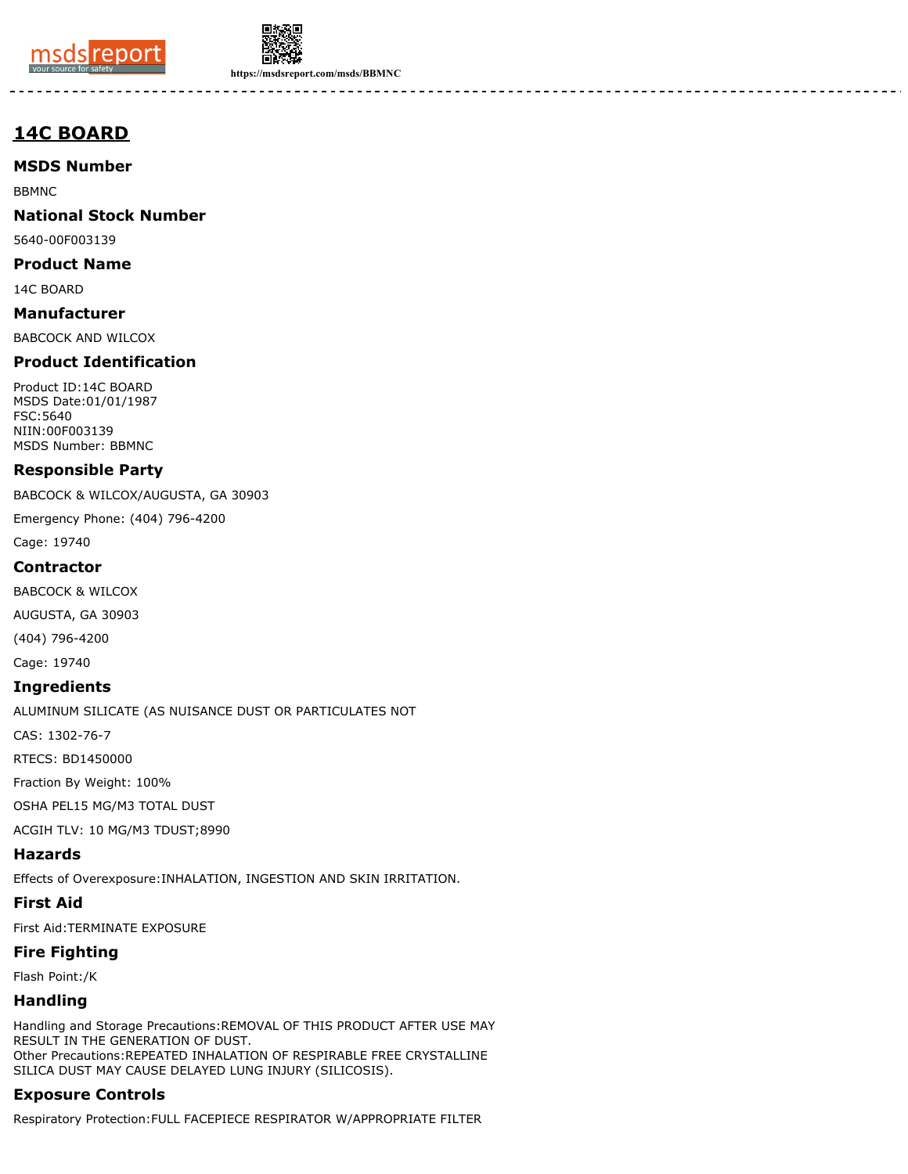



**https://msdsreport.com/msds/BBMNC**

# **14C BOARD**

**MSDS Number**

BBMNC

**National Stock Number**

5640-00F003139

**Product Name**

14C BOARD

**Manufacturer** BABCOCK AND WILCOX

### **Product Identification**

Product ID:14C BOARD MSDS Date:01/01/1987 FSC:5640 NIIN:00F003139 MSDS Number: BBMNC

### **Responsible Party**

BABCOCK & WILCOX/AUGUSTA, GA 30903

Emergency Phone: (404) 796-4200

Cage: 19740

### **Contractor**

BABCOCK & WILCOX

AUGUSTA, GA 30903

(404) 796-4200

Cage: 19740

### **Ingredients**

ALUMINUM SILICATE (AS NUISANCE DUST OR PARTICULATES NOT

CAS: 1302-76-7

RTECS: BD1450000

Fraction By Weight: 100%

OSHA PEL15 MG/M3 TOTAL DUST

ACGIH TLV: 10 MG/M3 TDUST;8990

### **Hazards**

Effects of Overexposure:INHALATION, INGESTION AND SKIN IRRITATION.

### **First Aid**

First Aid:TERMINATE EXPOSURE

### **Fire Fighting**

Flash Point:/K

# **Handling**

Handling and Storage Precautions:REMOVAL OF THIS PRODUCT AFTER USE MAY RESULT IN THE GENERATION OF DUST. Other Precautions:REPEATED INHALATION OF RESPIRABLE FREE CRYSTALLINE SILICA DUST MAY CAUSE DELAYED LUNG INJURY (SILICOSIS).

# **Exposure Controls**

Respiratory Protection:FULL FACEPIECE RESPIRATOR W/APPROPRIATE FILTER